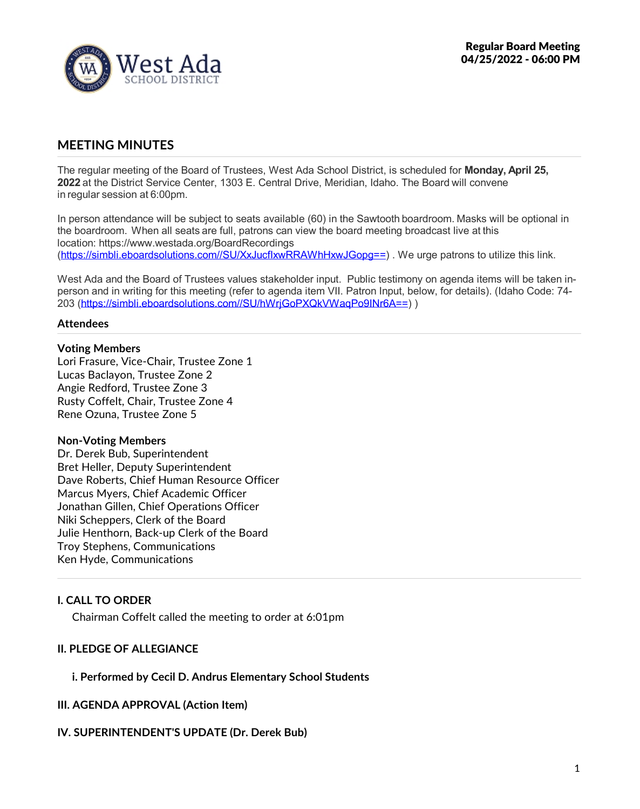

# **MEETING MINUTES**

The regular meeting of the Board of Trustees, West Ada School District, is scheduled for **Monday, April 25, 2022** at the District Service Center, 1303 E. Central Drive, Meridian, Idaho. The Board will convene in regular session at 6:00pm.

In person attendance will be subject to seats available (60) in the Sawtooth boardroom. Masks will be optional in the boardroom. When all seats are full, patrons can view the board meeting broadcast live at this location: https://www.westada.org/BoardRecordings (https://simbli.eboardsolutions.com//SU/XxJucfIxwRRAWhHxwJGopg==). We urge patrons to utilize this link.

West Ada and the Board of Trustees values stakeholder input. Public testimony on agenda items will be taken in person and in writing for this meeting (refer to agenda item VII. Patron Input, below, for details). (Idaho Code: 74- 203 (https://simbli.eboardsolutions.com//SU/hWrjGoPXQkVWaqPo9INr6A==) )

#### **Attendees**

#### **Voting Members**

Lori Frasure, Vice-Chair, Trustee Zone 1 Lucas Baclayon, Trustee Zone 2 Angie Redford, Trustee Zone 3 Rusty Coffelt, Chair, Trustee Zone 4 Rene Ozuna, Trustee Zone 5

#### **Non-Voting Members**

Dr. Derek Bub, Superintendent Bret Heller, Deputy Superintendent Dave Roberts, Chief Human Resource Officer Marcus Myers, Chief Academic Officer Jonathan Gillen, Chief Operations Officer Niki Scheppers, Clerk of the Board Julie Henthorn, Back-up Clerk of the Board Troy Stephens, Communications Ken Hyde, Communications

### **I. CALL TO ORDER**

Chairman Coffelt called the meeting to order at 6:01pm

### **II. PLEDGE OF ALLEGIANCE**

#### **i. Performed by Cecil D. Andrus Elementary School Students**

**III. AGENDA APPROVAL (Action Item)**

#### **IV. SUPERINTENDENT'S UPDATE (Dr. Derek Bub)**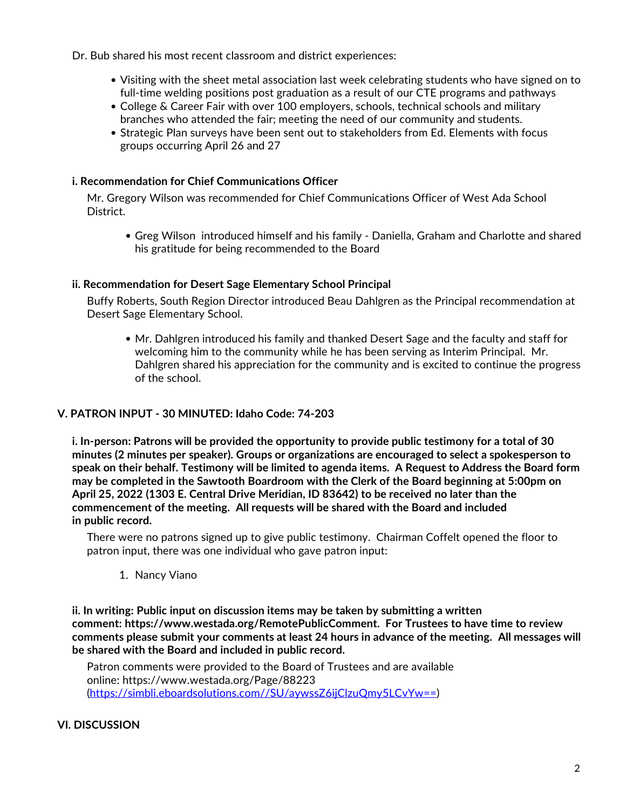Dr. Bub shared his most recent classroom and district experiences:

- Visiting with the sheet metal association last week celebrating students who have signed on to full-time welding positions post graduation as a result of our CTE programs and pathways
- College & Career Fair with over 100 employers, schools, technical schools and military
- branches who attended the fair; meeting the need of our community and students.<br>• Strategic Plan surveys have been sent out to stakeholders from Ed. Elements with focus groups occurring April 26 and 27

## **i. Recommendation for Chief Communications Officer**

Mr. Gregory Wilson was recommended for Chief Communications Officer of West Ada School District.

Greg Wilson introduced himself and his family -Daniella, Graham and Charlotte and shared his gratitude for being recommended to the Board

## **ii. Recommendation for Desert Sage Elementary School Principal**

Buffy Roberts, South Region Director introduced Beau Dahlgren as the Principal recommendation at Desert Sage Elementary School.

• Mr. Dahlgren introduced his family and thanked Desert Sage and the faculty and staff for welcoming him to the community while he has been serving as Interim Principal. Mr.<br>Dahlgren shared his appreciation for the community and is excited to continue the progress of the school.

# **V. PATRON INPUT - 30 MINUTED: Idaho Code: 74-203**

**i. In-person: Patrons will be provided the opportunity to provide public testimony for a total of 30 minutes (2 minutes per speaker). Groups or organizations are encouraged to select a spokesperson to** speak on their behalf. Testimony will be limited to agenda items. A Request to Address the Board form **may be completed in the Sawtooth Boardroom with the Clerk of the Board beginning at 5:00pm on April 25, 2022 (1303 E. Central Drive Meridian, ID 83642) to be received no later than the commencement of the meeting. All requests will be shared with the Board and included in public record.**

There were no patrons signed up to give public testimony. Chairman Coffelt opened the floor to patron input, there was one individual who gave patron input:

1. Nancy Viano

**ii. In writing: Public input on discussion items may be taken by submitting a written comment: https://www.westada.org/RemotePublicComment. For Trustees to have time to review comments please submit your comments at least 24 hours in advance of the meeting. All messages will be shared with the Board and included in public record.**

Patron comments were provided to the Board of Trustees and are available online: https://www.westada.org/Page/88223 (https://simbli.eboardsolutions.com//SU/aywssZ6ijClzuQmy5LCvYw==)

## **VI. DISCUSSION**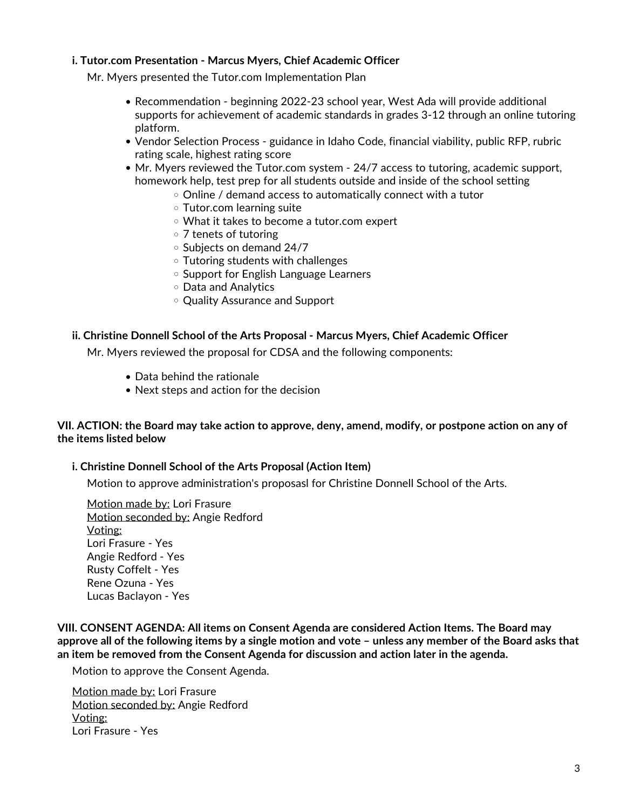### **i. Tutor.com Presentation - Marcus Myers, Chief Academic Officer**

Mr. Myers presented the Tutor.com Implementation Plan

- Recommendation beginning 2022-23 school year, West Ada will provide additional supports for achievement of academic standards in grades 3-12 through an online tutoring platform.
- Vendor Selection Process guidance in Idaho Code, financial viability, public RFP, rubric rating scale, highest rating score
- Mr. Myers reviewed the Tutor.com system 24/7 access to tutoring, academic support, homework help, test prep for all students outside and inside of the school setting
	- $\circ$  Online / demand access to automatically connect with a tutor
	- Tutor.com learning suite
	- What it takes to become a tutor.com expert
	- 7 tenets of tutoring
	- o Subjects on demand 24/7
	- Tutoring students with challenges
	- o Support for English Language Learners
	- Data and Analytics
	- Quality Assurance and Support

### **ii. Christine Donnell School of the Arts Proposal - Marcus Myers, Chief Academic Officer**

Mr. Myers reviewed the proposal for CDSA and the following components:

- Data behind the rationale
- Next steps and action for the decision

### VII. ACTION: the Board may take action to approve, deny, amend, modify, or postpone action on any of **the items listed below**

#### **i. Christine Donnell School of the Arts Proposal (Action Item)**

Motion to approve administration's proposasl for Christine Donnell School of the Arts.

Motion made by: Lori Frasure Motion seconded by: Angie Redford Voting: Lori Frasure - Yes Angie Redford - Yes Rusty Coffelt - Yes Rene Ozuna - Yes Lucas Baclayon - Yes

**VIII. CONSENT AGENDA: All items on Consent Agenda are considered Action Items. The Board may** approve all of the following items by a single motion and vote - unless any member of the Board asks that **an item be removed from the Consent Agenda for discussion and action later in the agenda.**

Motion to approve the Consent Agenda.

Motion made by: Lori Frasure Motion seconded by: Angie Redford Voting: Lori Frasure -Yes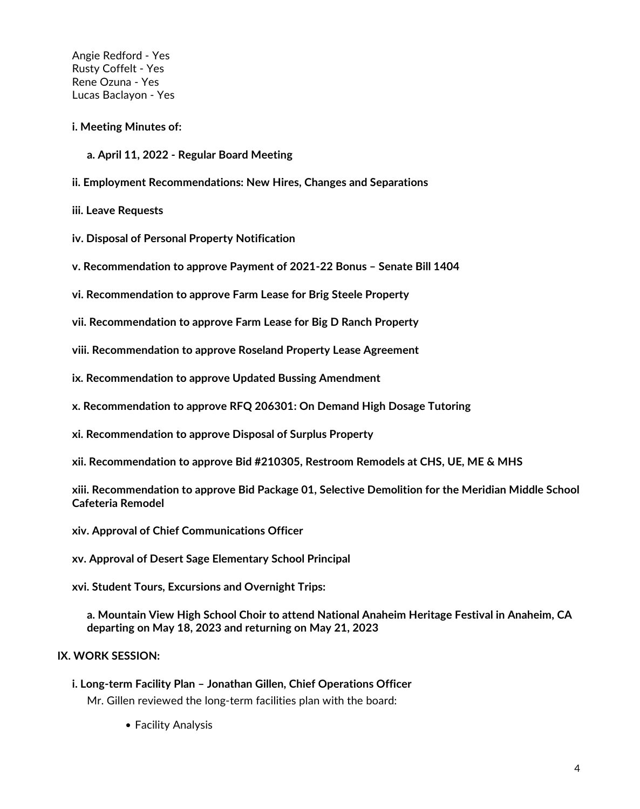Angie Redford - Yes Rusty Coffelt - Yes Rene Ozuna - Yes Lucas Baclayon - Yes

#### **i. Meeting Minutes of:**

**a. April 11, 2022 - Regular Board Meeting**

**ii. Employment Recommendations: New Hires, Changes and Separations**

**iii. Leave Requests**

- **iv. Disposal of Personal Property Notification**
- **v. Recommendation to approve Payment of 2021-22 Bonus – Senate Bill 1404**
- **vi. Recommendation to approve Farm Lease for Brig Steele Property**
- **vii. Recommendation to approve Farm Lease for Big D Ranch Property**
- **viii. Recommendation to approve Roseland Property Lease Agreement**
- **ix. Recommendation to approve Updated Bussing Amendment**
- **x. Recommendation to approve RFQ 206301: On Demand High Dosage Tutoring**
- **xi. Recommendation to approve Disposal of Surplus Property**
- **xii. Recommendation to approve Bid #210305, Restroom Remodels at CHS, UE, ME & MHS**

**xiii. Recommendation to approve Bid Package 01, Selective Demolition for the Meridian Middle School Cafeteria Remodel**

- **xiv. Approval of Chief Communications Officer**
- **xv. Approval of Desert Sage Elementary School Principal**
- **xvi. Student Tours, Excursions and Overnight Trips:**

**a. Mountain View High School Choir to attend National Anaheim Heritage Festival in Anaheim, CA departing on May 18, 2023 and returning on May 21, 2023**

## **IX. WORK SESSION:**

- **i. Long-term Facility Plan – Jonathan Gillen, Chief Operations Officer** Mr. Gillen reviewed the long-term facilities plan with the board:
	- Facility Analysis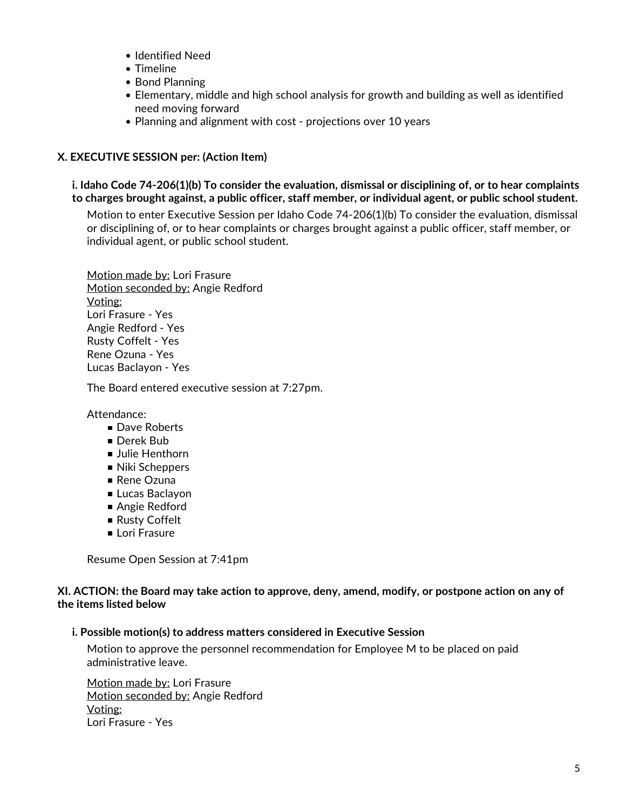- Identified Need
- Timeline
- Bond Planning
- Elementary, middle and high school analysis for growth and building as well as identified need moving forward
- Planning and alignment with cost projections over 10 years

# **X. EXECUTIVE SESSION per: (Action Item)**

**i. Idaho Code 74-206(1)(b) To consider the evaluation, dismissal or disciplining of, or to hear complaints to charges brought against, a public officer, staff member, or individual agent, or public school student.**

Motion to enter Executive Session per Idaho Code 74-206(1)(b) To consider the evaluation, dismissal or disciplining of, or to hear complaints or charges brought against a public officer, staff member, or individual agent, or public school student.

Motion made by: Lori Frasure Motion seconded by: Angie Redford Voting: Lori Frasure -Yes Angie Redford - Yes Rusty Coffelt - Yes Rene Ozuna - Yes Lucas Baclayon - Yes

The Board entered executive session at 7:27pm.

Attendance:

- Dave Roberts
- Derek Bub
- **Julie Henthorn**
- Niki Scheppers
- Rene Ozuna
- Lucas Baclavon
- Angie Redford
- Rusty Coffelt
- **Lori Frasure**

Resume Open Session at 7:41pm

XI. ACTION: the Board may take action to approve, deny, amend, modify, or postpone action on any of **the items listed below**

## **i. Possible motion(s) to address matters considered in Executive Session**

Motion to approve the personnel recommendation for Employee M to be placed on paid administrative leave.

Motion made by: Lori Frasure Motion seconded by: Angie Redford Voting: Lori Frasure -Yes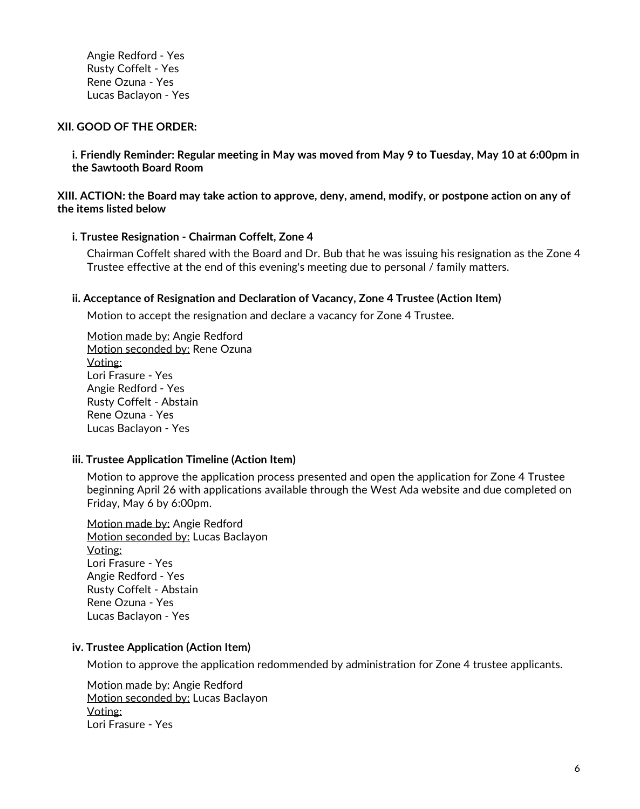Angie Redford - Yes Rusty Coffelt - Yes Rene Ozuna - Yes Lucas Baclayon - Yes

### **XII. GOOD OF THE ORDER:**

i. Friendly Reminder: Regular meeting in May was moved from May 9 to Tuesday, May 10 at 6:00pm in **the Sawtooth Board Room**

XIII. ACTION: the Board may take action to approve, deny, amend, modify, or postpone action on any of **the items listed below**

#### **i. Trustee Resignation - Chairman Coffelt, Zone 4**

Chairman Coffelt shared with the Board and Dr. Bub that he was issuing his resignation as the Zone 4 Trustee effective at the end of this evening's meeting due to personal / family matters.

### **ii. Acceptance of Resignation and Declaration of Vacancy, Zone 4 Trustee (Action Item)**

Motion to accept the resignation and declare a vacancy for Zone 4 Trustee.

Motion made by: Angie Redford Motion seconded by: Rene Ozuna Voting: Lori Frasure - Yes Angie Redford - Yes Rusty Coffelt - Abstain Rene Ozuna - Yes Lucas Baclayon - Yes

## **iii. Trustee Application Timeline (Action Item)**

Motion to approve the application process presented and open the application for Zone 4 Trustee beginning April 26 with applications available through the West Ada website and due completed on Friday, May 6 by 6:00pm.

Motion made by: Angie Redford Motion seconded by: Lucas Baclayon Voting: Lori Frasure - Yes Angie Redford - Yes Rusty Coffelt - Abstain Rene Ozuna - Yes Lucas Baclayon - Yes

## **iv. Trustee Application (Action Item)**

Motion to approve the application redommended by administration for Zone 4 trustee applicants.

Motion made by: Angie Redford Motion seconded by: Lucas Baclayon Voting: Lori Frasure - Yes